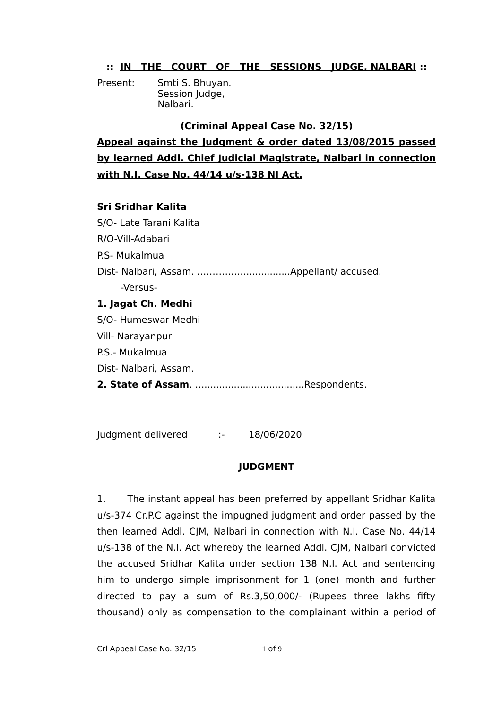## **:: IN THE COURT OF THE SESSIONS JUDGE, NALBARI ::**

Present: Smti S. Bhuyan. Session Judge, Nalbari.

## **(Criminal Appeal Case No. 32/15)**

**Appeal against the Judgment & order dated 13/08/2015 passed by learned Addl. Chief Judicial Magistrate, Nalbari in connection with N.I. Case No. 44/14 u/s-138 NI Act.**

## **Sri Sridhar Kalita**

S/O- Late Tarani Kalita R/O-Vill-Adabari P.S- Mukalmua Dist- Nalbari, Assam. ……………................Appellant/ accused. -Versus-**1. Jagat Ch. Medhi** S/O- Humeswar Medhi Vill- Narayanpur P.S.- Mukalmua Dist- Nalbari, Assam. **2. State of Assam**. …..................................Respondents.

Judgment delivered :- 18/06/2020

## **JUDGMENT**

1. The instant appeal has been preferred by appellant Sridhar Kalita u/s-374 Cr.P.C against the impugned judgment and order passed by the then learned Addl. CJM, Nalbari in connection with N.I. Case No. 44/14 u/s-138 of the N.I. Act whereby the learned Addl. CJM, Nalbari convicted the accused Sridhar Kalita under section 138 N.I. Act and sentencing him to undergo simple imprisonment for 1 (one) month and further directed to pay a sum of Rs.3,50,000/- (Rupees three lakhs fifty thousand) only as compensation to the complainant within a period of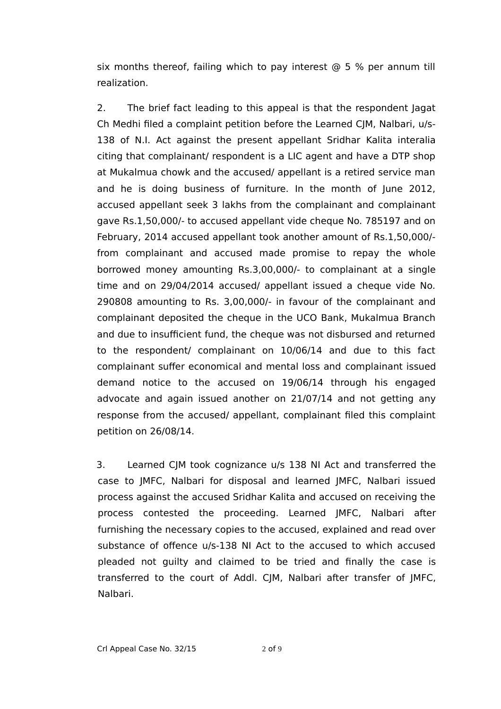six months thereof, failing which to pay interest  $\odot$  5 % per annum till realization.

2. The brief fact leading to this appeal is that the respondent Jagat Ch Medhi filed a complaint petition before the Learned CJM, Nalbari, u/s-138 of N.I. Act against the present appellant Sridhar Kalita interalia citing that complainant/ respondent is a LIC agent and have a DTP shop at Mukalmua chowk and the accused/ appellant is a retired service man and he is doing business of furniture. In the month of June 2012, accused appellant seek 3 lakhs from the complainant and complainant gave Rs.1,50,000/- to accused appellant vide cheque No. 785197 and on February, 2014 accused appellant took another amount of Rs.1,50,000/ from complainant and accused made promise to repay the whole borrowed money amounting Rs.3,00,000/- to complainant at a single time and on 29/04/2014 accused/ appellant issued a cheque vide No. 290808 amounting to Rs. 3,00,000/- in favour of the complainant and complainant deposited the cheque in the UCO Bank, Mukalmua Branch and due to insufficient fund, the cheque was not disbursed and returned to the respondent/ complainant on 10/06/14 and due to this fact complainant suffer economical and mental loss and complainant issued demand notice to the accused on 19/06/14 through his engaged advocate and again issued another on 21/07/14 and not getting any response from the accused/ appellant, complainant filed this complaint petition on 26/08/14.

3. Learned CJM took cognizance u/s 138 NI Act and transferred the case to JMFC, Nalbari for disposal and learned JMFC, Nalbari issued process against the accused Sridhar Kalita and accused on receiving the process contested the proceeding. Learned JMFC, Nalbari after furnishing the necessary copies to the accused, explained and read over substance of offence u/s-138 NI Act to the accused to which accused pleaded not guilty and claimed to be tried and finally the case is transferred to the court of Addl. CJM, Nalbari after transfer of JMFC, Nalbari.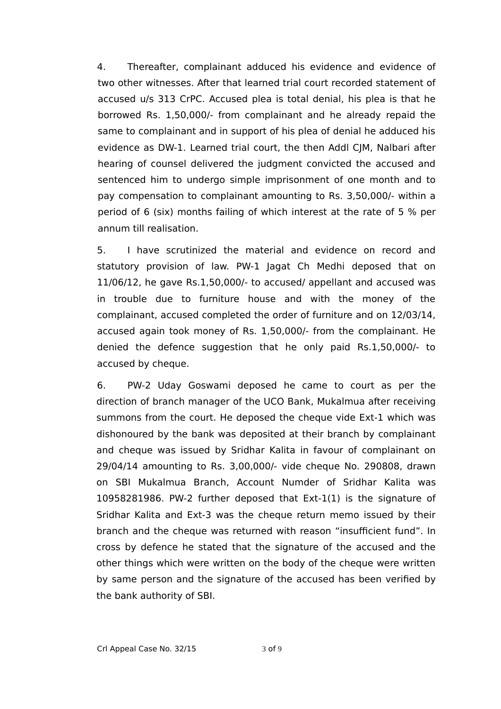4. Thereafter, complainant adduced his evidence and evidence of two other witnesses. After that learned trial court recorded statement of accused u/s 313 CrPC. Accused plea is total denial, his plea is that he borrowed Rs. 1,50,000/- from complainant and he already repaid the same to complainant and in support of his plea of denial he adduced his evidence as DW-1. Learned trial court, the then Addl CJM, Nalbari after hearing of counsel delivered the judgment convicted the accused and sentenced him to undergo simple imprisonment of one month and to pay compensation to complainant amounting to Rs. 3,50,000/- within a period of 6 (six) months failing of which interest at the rate of 5 % per annum till realisation.

5. I have scrutinized the material and evidence on record and statutory provision of law. PW-1 Jagat Ch Medhi deposed that on 11/06/12, he gave Rs.1,50,000/- to accused/ appellant and accused was in trouble due to furniture house and with the money of the complainant, accused completed the order of furniture and on 12/03/14, accused again took money of Rs. 1,50,000/- from the complainant. He denied the defence suggestion that he only paid Rs.1,50,000/- to accused by cheque.

6. PW-2 Uday Goswami deposed he came to court as per the direction of branch manager of the UCO Bank, Mukalmua after receiving summons from the court. He deposed the cheque vide Ext-1 which was dishonoured by the bank was deposited at their branch by complainant and cheque was issued by Sridhar Kalita in favour of complainant on 29/04/14 amounting to Rs. 3,00,000/- vide cheque No. 290808, drawn on SBI Mukalmua Branch, Account Numder of Sridhar Kalita was 10958281986. PW-2 further deposed that Ext-1(1) is the signature of Sridhar Kalita and Ext-3 was the cheque return memo issued by their branch and the cheque was returned with reason "insufficient fund". In cross by defence he stated that the signature of the accused and the other things which were written on the body of the cheque were written by same person and the signature of the accused has been verified by the bank authority of SBI.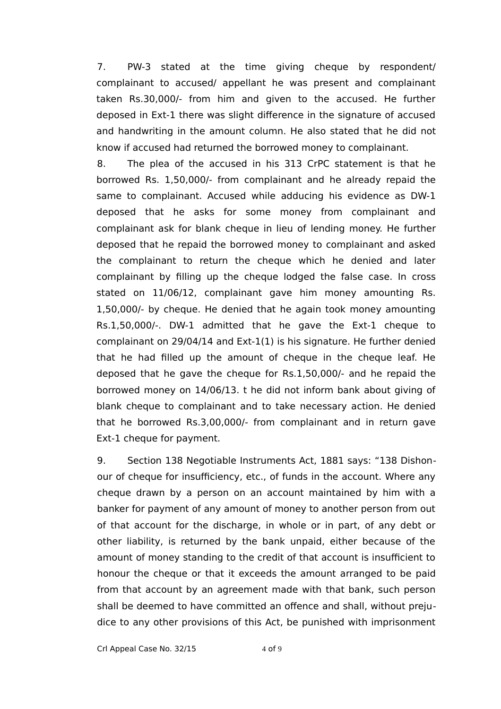7. PW-3 stated at the time giving cheque by respondent/ complainant to accused/ appellant he was present and complainant taken Rs.30,000/- from him and given to the accused. He further deposed in Ext-1 there was slight difference in the signature of accused and handwriting in the amount column. He also stated that he did not know if accused had returned the borrowed money to complainant.

8. The plea of the accused in his 313 CrPC statement is that he borrowed Rs. 1,50,000/- from complainant and he already repaid the same to complainant. Accused while adducing his evidence as DW-1 deposed that he asks for some money from complainant and complainant ask for blank cheque in lieu of lending money. He further deposed that he repaid the borrowed money to complainant and asked the complainant to return the cheque which he denied and later complainant by filling up the cheque lodged the false case. In cross stated on 11/06/12, complainant gave him money amounting Rs. 1,50,000/- by cheque. He denied that he again took money amounting Rs.1,50,000/-. DW-1 admitted that he gave the Ext-1 cheque to complainant on 29/04/14 and Ext-1(1) is his signature. He further denied that he had filled up the amount of cheque in the cheque leaf. He deposed that he gave the cheque for Rs.1,50,000/- and he repaid the borrowed money on 14/06/13. t he did not inform bank about giving of blank cheque to complainant and to take necessary action. He denied that he borrowed Rs.3,00,000/- from complainant and in return gave Ext-1 cheque for payment.

9. Section 138 Negotiable Instruments Act, 1881 says: "138 Dishonour of cheque for insufficiency, etc., of funds in the account. Where any cheque drawn by a person on an account maintained by him with a banker for payment of any amount of money to another person from out of that account for the discharge, in whole or in part, of any debt or other liability, is returned by the bank unpaid, either because of the amount of money standing to the credit of that account is insufficient to honour the cheque or that it exceeds the amount arranged to be paid from that account by an agreement made with that bank, such person shall be deemed to have committed an offence and shall, without prejudice to any other provisions of this Act, be punished with imprisonment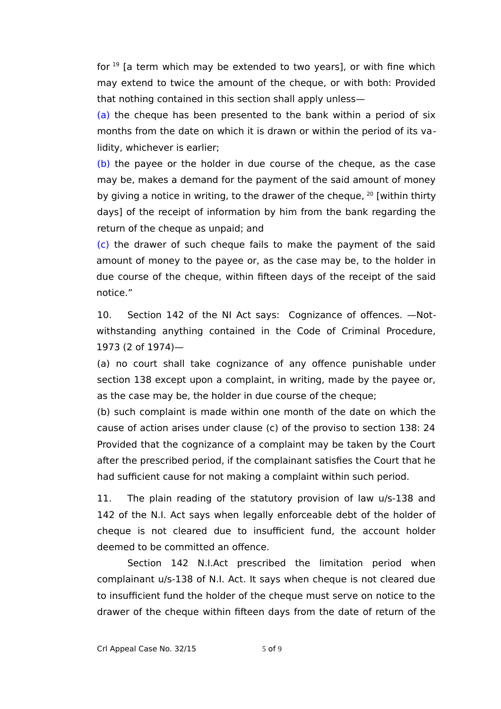for  $19$  [a term which may be extended to two years], or with fine which may extend to twice the amount of the cheque, or with both: Provided that nothing contained in this section shall apply unless—

(a) the cheque has been presented to the bank within a period of six months from the date on which it is drawn or within the period of its validity, whichever is earlier;

(b) the payee or the holder in due course of the cheque, as the case may be, makes a demand for the payment of the said amount of money by giving a notice in writing, to the drawer of the cheque,  $20$  [within thirty days] of the receipt of information by him from the bank regarding the return of the cheque as unpaid; and

(c) the drawer of such cheque fails to make the payment of the said amount of money to the payee or, as the case may be, to the holder in due course of the cheque, within fifteen days of the receipt of the said notice."

10. Section 142 of the NI Act says: Cognizance of offences. —Notwithstanding anything contained in the Code of Criminal Procedure, 1973 (2 of 1974)—

[\(a\)](https://indiankanoon.org/doc/1779303/) no court shall take cognizance of any offence punishable under section 138 except upon a complaint, in writing, made by the payee or, as the case may be, the holder in due course of the cheque;

[\(b\)](https://indiankanoon.org/doc/1755922/) such complaint is made within one month of the date on which the cause of action arises under clause (c) of the proviso to section 138: 24 Provided that the cognizance of a complaint may be taken by the Court after the prescribed period, if the complainant satisfies the Court that he had sufficient cause for not making a complaint within such period.

11. The plain reading of the statutory provision of law u/s-138 and 142 of the N.I. Act says when legally enforceable debt of the holder of cheque is not cleared due to insufficient fund, the account holder deemed to be committed an offence.

Section 142 N.I.Act prescribed the limitation period when complainant u/s-138 of N.I. Act. It says when cheque is not cleared due to insufficient fund the holder of the cheque must serve on notice to the drawer of the cheque within fifteen days from the date of return of the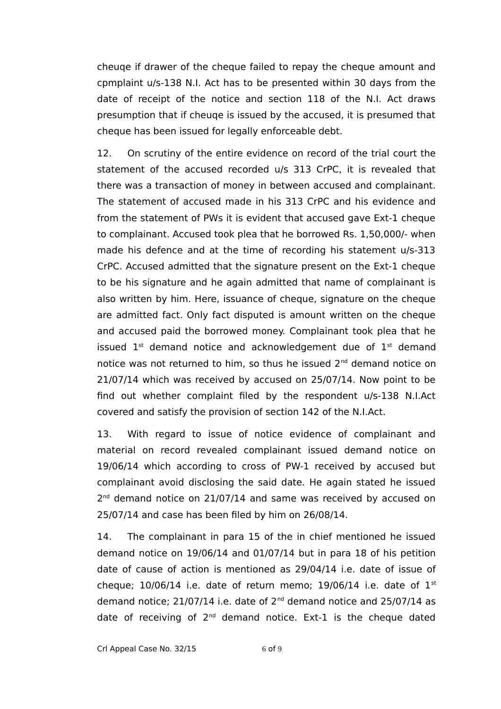cheuqe if drawer of the cheque failed to repay the cheque amount and cpmplaint u/s-138 N.I. Act has to be presented within 30 days from the date of receipt of the notice and section 118 of the N.I. Act draws presumption that if cheuqe is issued by the accused, it is presumed that cheque has been issued for legally enforceable debt.

12. On scrutiny of the entire evidence on record of the trial court the statement of the accused recorded u/s 313 CrPC, it is revealed that there was a transaction of money in between accused and complainant. The statement of accused made in his 313 CrPC and his evidence and from the statement of PWs it is evident that accused gave Ext-1 cheque to complainant. Accused took plea that he borrowed Rs. 1,50,000/- when made his defence and at the time of recording his statement u/s-313 CrPC. Accused admitted that the signature present on the Ext-1 cheque to be his signature and he again admitted that name of complainant is also written by him. Here, issuance of cheque, signature on the cheque are admitted fact. Only fact disputed is amount written on the cheque and accused paid the borrowed money. Complainant took plea that he issued  $1^{st}$  demand notice and acknowledgement due of  $1^{st}$  demand notice was not returned to him, so thus he issued 2<sup>nd</sup> demand notice on 21/07/14 which was received by accused on 25/07/14. Now point to be find out whether complaint filed by the respondent u/s-138 N.I.Act covered and satisfy the provision of section 142 of the N.I.Act.

13. With regard to issue of notice evidence of complainant and material on record revealed complainant issued demand notice on 19/06/14 which according to cross of PW-1 received by accused but complainant avoid disclosing the said date. He again stated he issued 2<sup>nd</sup> demand notice on 21/07/14 and same was received by accused on 25/07/14 and case has been filed by him on 26/08/14.

14. The complainant in para 15 of the in chief mentioned he issued demand notice on 19/06/14 and 01/07/14 but in para 18 of his petition date of cause of action is mentioned as 29/04/14 i.e. date of issue of cheque;  $10/06/14$  i.e. date of return memo;  $19/06/14$  i.e. date of  $1<sup>st</sup>$ demand notice;  $21/07/14$  i.e. date of  $2^{nd}$  demand notice and  $25/07/14$  as date of receiving of  $2^{nd}$  demand notice. Ext-1 is the cheque dated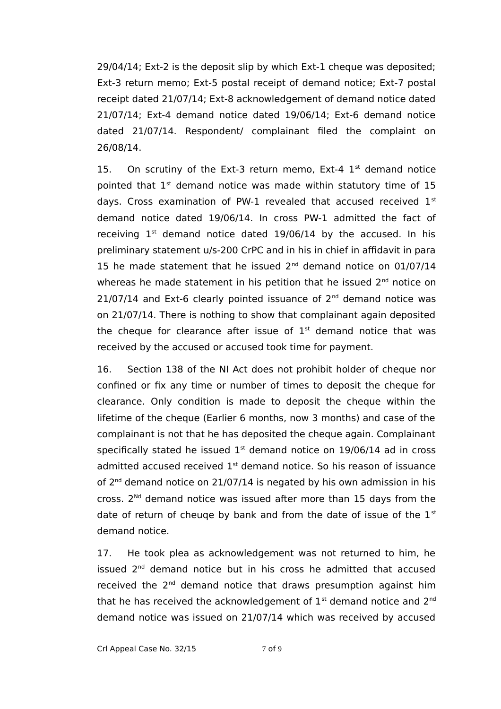29/04/14; Ext-2 is the deposit slip by which Ext-1 cheque was deposited; Ext-3 return memo; Ext-5 postal receipt of demand notice; Ext-7 postal receipt dated 21/07/14; Ext-8 acknowledgement of demand notice dated 21/07/14; Ext-4 demand notice dated 19/06/14; Ext-6 demand notice dated 21/07/14. Respondent/ complainant filed the complaint on 26/08/14.

15. On scrutiny of the Ext-3 return memo, Ext-4  $1<sup>st</sup>$  demand notice pointed that  $1<sup>st</sup>$  demand notice was made within statutory time of 15 days. Cross examination of PW-1 revealed that accused received  $1<sup>st</sup>$ demand notice dated 19/06/14. In cross PW-1 admitted the fact of receiving  $1<sup>st</sup>$  demand notice dated 19/06/14 by the accused. In his preliminary statement u/s-200 CrPC and in his in chief in affidavit in para 15 he made statement that he issued  $2^{nd}$  demand notice on 01/07/14 whereas he made statement in his petition that he issued  $2<sup>nd</sup>$  notice on  $21/07/14$  and Ext-6 clearly pointed issuance of  $2^{nd}$  demand notice was on 21/07/14. There is nothing to show that complainant again deposited the cheque for clearance after issue of  $1<sup>st</sup>$  demand notice that was received by the accused or accused took time for payment.

16. Section 138 of the NI Act does not prohibit holder of cheque nor confined or fix any time or number of times to deposit the cheque for clearance. Only condition is made to deposit the cheque within the lifetime of the cheque (Earlier 6 months, now 3 months) and case of the complainant is not that he has deposited the cheque again. Complainant specifically stated he issued  $1<sup>st</sup>$  demand notice on 19/06/14 ad in cross admitted accused received  $1<sup>st</sup>$  demand notice. So his reason of issuance of  $2^{nd}$  demand notice on  $21/07/14$  is negated by his own admission in his cross.  $2^{Nd}$  demand notice was issued after more than 15 days from the date of return of cheuqe by bank and from the date of issue of the  $1<sup>st</sup>$ demand notice.

17. He took plea as acknowledgement was not returned to him, he issued  $2<sup>nd</sup>$  demand notice but in his cross he admitted that accused received the  $2<sup>nd</sup>$  demand notice that draws presumption against him that he has received the acknowledgement of  $1<sup>st</sup>$  demand notice and  $2<sup>nd</sup>$ demand notice was issued on 21/07/14 which was received by accused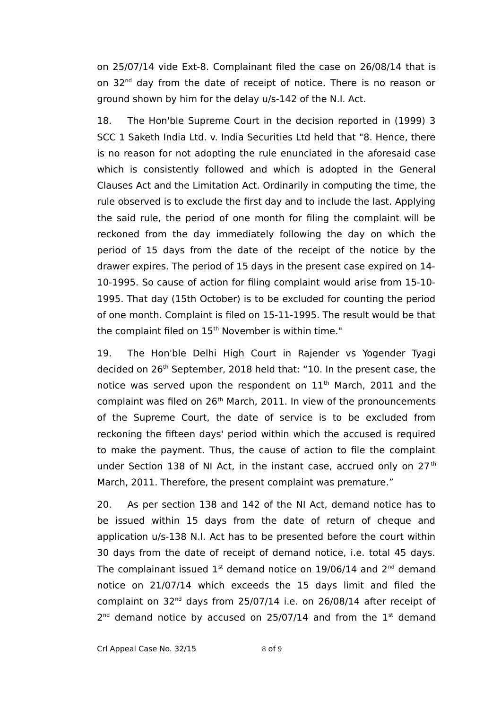on 25/07/14 vide Ext-8. Complainant filed the case on 26/08/14 that is on 32<sup>nd</sup> day from the date of receipt of notice. There is no reason or ground shown by him for the delay u/s-142 of the N.I. Act.

18. The Hon'ble Supreme Court in the decision reported in (1999) 3 SCC 1 Saketh India Ltd. v. India Securities Ltd held that "8. Hence, there is no reason for not adopting the rule enunciated in the aforesaid case which is consistently followed and which is adopted in the General Clauses Act and the Limitation Act. Ordinarily in computing the time, the rule observed is to exclude the first day and to include the last. Applying the said rule, the period of one month for filing the complaint will be reckoned from the day immediately following the day on which the period of 15 days from the date of the receipt of the notice by the drawer expires. The period of 15 days in the present case expired on 14- 10-1995. So cause of action for filing complaint would arise from 15-10- 1995. That day (15th October) is to be excluded for counting the period of one month. Complaint is filed on 15-11-1995. The result would be that the complaint filed on 15<sup>th</sup> November is within time."

19. The Hon'ble Delhi High Court in Rajender vs Yogender Tyagi decided on 26<sup>th</sup> September, 2018 held that: "10. In the present case, the notice was served upon the respondent on  $11<sup>th</sup>$  March, 2011 and the complaint was filed on 26<sup>th</sup> March, 2011. In view of the pronouncements of the Supreme Court, the date of service is to be excluded from reckoning the fifteen days' period within which the accused is required to make the payment. Thus, the cause of action to file the complaint under Section 138 of NI Act, in the instant case, accrued only on  $27<sup>th</sup>$ March, 2011. Therefore, the present complaint was premature."

20. As per section 138 and 142 of the NI Act, demand notice has to be issued within 15 days from the date of return of cheque and application u/s-138 N.I. Act has to be presented before the court within 30 days from the date of receipt of demand notice, i.e. total 45 days. The complainant issued  $1<sup>st</sup>$  demand notice on 19/06/14 and  $2<sup>nd</sup>$  demand notice on 21/07/14 which exceeds the 15 days limit and filed the complaint on  $32<sup>nd</sup>$  days from  $25/07/14$  i.e. on  $26/08/14$  after receipt of  $2^{nd}$  demand notice by accused on 25/07/14 and from the  $1^{st}$  demand